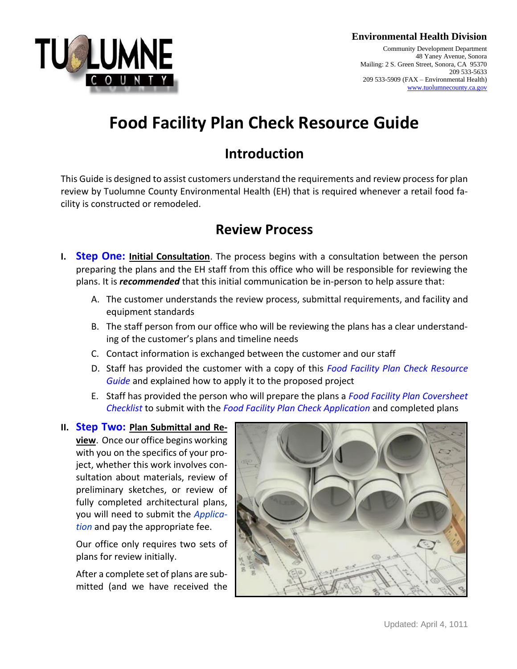**Environmental Health Division**



 Community Development Department 48 Yaney Avenue, Sonora Mailing: 2 S. Green Street, Sonora, CA 95370 209 533-5633 209 533-5909 (FAX – Environmental Health) [www.tuolumnecounty.ca.gov](http://www.tuolumnecounty.ca.gov/)

# **Food Facility Plan Check Resource Guide**

## **Introduction**

This Guide is designed to assist customers understand the requirements and review process for plan review by Tuolumne County Environmental Health (EH) that is required whenever a retail food facility is constructed or remodeled.

## **Review Process**

- **I. Step One: Initial Consultation**. The process begins with a consultation between the person preparing the plans and the EH staff from this office who will be responsible for reviewing the plans. It is *recommended* that this initial communication be in-person to help assure that:
	- A. The customer understands the review process, submittal requirements, and facility and equipment standards
	- B. The staff person from our office who will be reviewing the plans has a clear understanding of the customer's plans and timeline needs
	- C. Contact information is exchanged between the customer and our staff
	- D. Staff has provided the customer with a copy of this *Food Facility Plan Check Resource Guide* and explained how to apply it to the proposed project
	- E. Staff has provided the person who will prepare the plans a *Food Facility Plan Coversheet Checklist* to submit with the *Food Facility Plan Check Application* and completed plans
- **II. Step Two: Plan Submittal and Review**. Once our office begins working with you on the specifics of your project, whether this work involves consultation about materials, review of preliminary sketches, or review of fully completed architectural plans, you will need to submit the *Application* and pay the appropriate fee.

Our office only requires two sets of plans for review initially.

After a complete set of plans are submitted (and we have received the

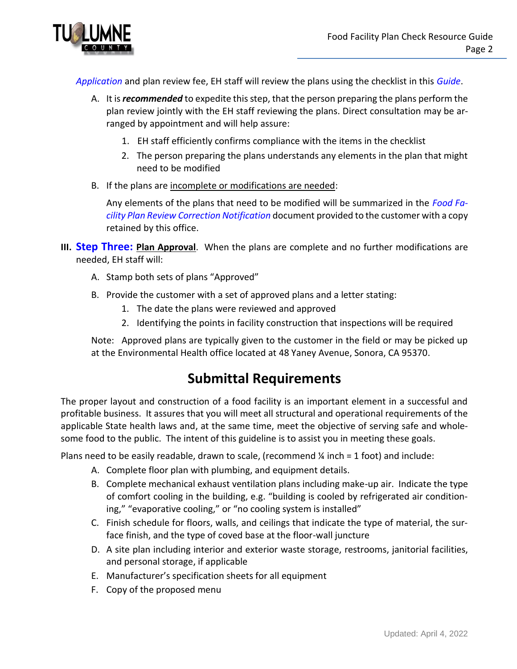



*Application* and plan review fee, EH staff will review the plans using the checklist in this *Guide*.

- A. It is *recommended* to expedite this step, that the person preparing the plans perform the plan review jointly with the EH staff reviewing the plans. Direct consultation may be arranged by appointment and will help assure:
	- 1. EH staff efficiently confirms compliance with the items in the checklist
	- 2. The person preparing the plans understands any elements in the plan that might need to be modified
- B. If the plans are incomplete or modifications are needed:

Any elements of the plans that need to be modified will be summarized in the *Food Facility Plan Review Correction Notification* document provided to the customer with a copy retained by this office.

- **III. Step Three: Plan Approval**. When the plans are complete and no further modifications are needed, EH staff will:
	- A. Stamp both sets of plans "Approved"
	- B. Provide the customer with a set of approved plans and a letter stating:
		- 1. The date the plans were reviewed and approved
		- 2. Identifying the points in facility construction that inspections will be required

Note: Approved plans are typically given to the customer in the field or may be picked up at the Environmental Health office located at 48 Yaney Avenue, Sonora, CA 95370.

## **Submittal Requirements**

The proper layout and construction of a food facility is an important element in a successful and profitable business. It assures that you will meet all structural and operational requirements of the applicable State health laws and, at the same time, meet the objective of serving safe and wholesome food to the public. The intent of this guideline is to assist you in meeting these goals.

Plans need to be easily readable, drawn to scale, (recommend  $\frac{1}{2}$  inch = 1 foot) and include:

- A. Complete floor plan with plumbing, and equipment details.
- B. Complete mechanical exhaust ventilation plans including make-up air. Indicate the type of comfort cooling in the building, e.g. "building is cooled by refrigerated air conditioning," "evaporative cooling," or "no cooling system is installed"
- C. Finish schedule for floors, walls, and ceilings that indicate the type of material, the surface finish, and the type of coved base at the floor-wall juncture
- D. A site plan including interior and exterior waste storage, restrooms, janitorial facilities, and personal storage, if applicable
- E. Manufacturer's specification sheets for all equipment
- F. Copy of the proposed menu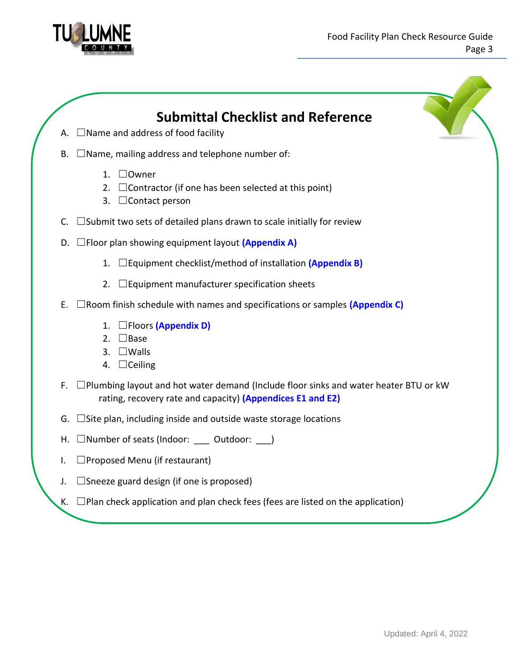



K.  $\square$ Plan check application and plan check fees (fees are listed on the application)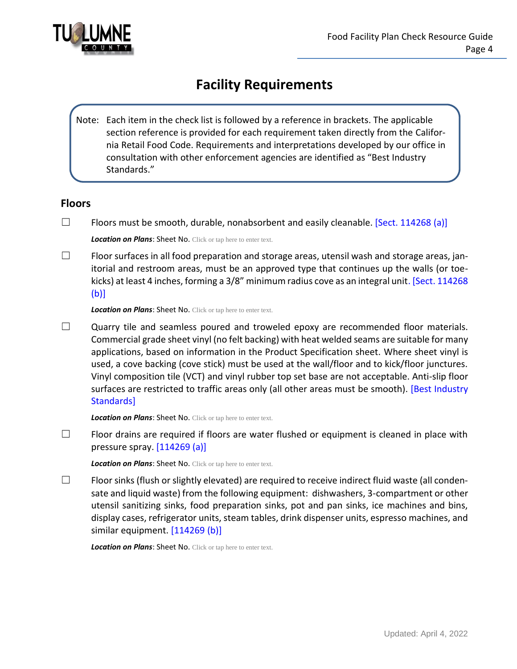

## **Facility Requirements**

Note: Each item in the check list is followed by a reference in brackets. The applicable section reference is provided for each requirement taken directly from the California Retail Food Code. Requirements and interpretations developed by our office in consultation with other enforcement agencies are identified as "Best Industry Standards."

#### **Floors**

 $\Box$  Floors must be smooth, durable, nonabsorbent and easily cleanable. [Sect. 114268 (a)]

*Location on Plans*: Sheet No. Click or tap here to enter text.

☐ Floor surfaces in all food preparation and storage areas, utensil wash and storage areas, janitorial and restroom areas, must be an approved type that continues up the walls (or toekicks) at least 4 inches, forming a 3/8" minimum radius cove as an integral unit. [Sect. 114268 (b)]

*Location on Plans*: Sheet No. Click or tap here to enter text.

 $\Box$  Quarry tile and seamless poured and troweled epoxy are recommended floor materials. Commercial grade sheet vinyl (no felt backing) with heat welded seams are suitable for many applications, based on information in the Product Specification sheet. Where sheet vinyl is used, a cove backing (cove stick) must be used at the wall/floor and to kick/floor junctures. Vinyl composition tile (VCT) and vinyl rubber top set base are not acceptable. Anti-slip floor surfaces are restricted to traffic areas only (all other areas must be smooth). [Best Industry Standards]

**Location on Plans: Sheet No.** Click or tap here to enter text.

 $\Box$  Floor drains are required if floors are water flushed or equipment is cleaned in place with pressure spray. [114269 (a)]

*Location on Plans*: Sheet No. Click or tap here to enter text.

☐ Floor sinks (flush or slightly elevated) are required to receive indirect fluid waste (all condensate and liquid waste) from the following equipment: dishwashers, 3-compartment or other utensil sanitizing sinks, food preparation sinks, pot and pan sinks, ice machines and bins, display cases, refrigerator units, steam tables, drink dispenser units, espresso machines, and similar equipment. [114269 (b)]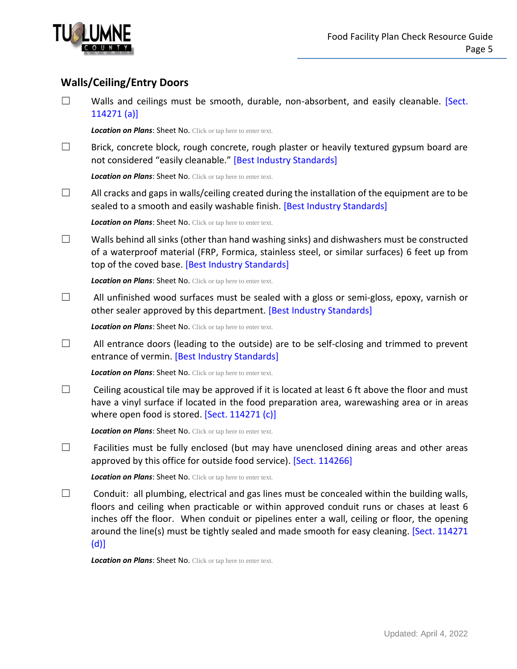

## **Walls/Ceiling/Entry Doors**

 $\Box$  Walls and ceilings must be smooth, durable, non-absorbent, and easily cleanable. [Sect. 114271 (a)]

*Location on Plans*: Sheet No. Click or tap here to enter text.

☐ Brick, concrete block, rough concrete, rough plaster or heavily textured gypsum board are not considered "easily cleanable." [Best Industry Standards]

**Location on Plans: Sheet No.** Click or tap here to enter text.

 $\Box$  All cracks and gaps in walls/ceiling created during the installation of the equipment are to be sealed to a smooth and easily washable finish. [Best Industry Standards]

*Location on Plans*: Sheet No. Click or tap here to enter text.

☐ Walls behind all sinks (other than hand washing sinks) and dishwashers must be constructed of a waterproof material (FRP, Formica, stainless steel, or similar surfaces) 6 feet up from top of the coved base. [Best Industry Standards]

*Location on Plans*: Sheet No. Click or tap here to enter text.

☐ All unfinished wood surfaces must be sealed with a gloss or semi-gloss, epoxy, varnish or other sealer approved by this department. [Best Industry Standards]

**Location on Plans: Sheet No.** Click or tap here to enter text.

☐ All entrance doors (leading to the outside) are to be self-closing and trimmed to prevent entrance of vermin. [Best Industry Standards]

*Location on Plans*: Sheet No. Click or tap here to enter text.

 $\Box$  Ceiling acoustical tile may be approved if it is located at least 6 ft above the floor and must have a vinyl surface if located in the food preparation area, warewashing area or in areas where open food is stored.  $[Set. 114271 (c)]$ 

**Location on Plans: Sheet No.** Click or tap here to enter text.

☐ Facilities must be fully enclosed (but may have unenclosed dining areas and other areas approved by this office for outside food service). [Sect. 114266]

*Location on Plans*: Sheet No. Click or tap here to enter text.

 $\Box$  Conduit: all plumbing, electrical and gas lines must be concealed within the building walls, floors and ceiling when practicable or within approved conduit runs or chases at least 6 inches off the floor. When conduit or pipelines enter a wall, ceiling or floor, the opening around the line(s) must be tightly sealed and made smooth for easy cleaning. [Sect. 114271 (d)]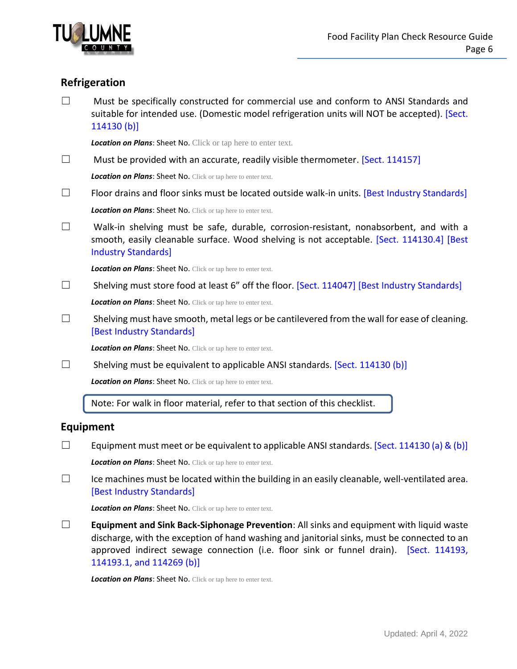

## **Refrigeration**

 $\Box$  Must be specifically constructed for commercial use and conform to ANSI Standards and suitable for intended use. (Domestic model refrigeration units will NOT be accepted). [Sect. 114130 (b)]

*Location on Plans*: Sheet No. Click or tap here to enter text.

 $\Box$  Must be provided with an accurate, readily visible thermometer. [Sect. 114157]

*Location on Plans*: Sheet No. Click or tap here to enter text.

- ☐ Floor drains and floor sinks must be located outside walk-in units. [Best Industry Standards] *Location on Plans*: Sheet No. Click or tap here to enter text.
- ☐ Walk-in shelving must be safe, durable, corrosion-resistant, nonabsorbent, and with a smooth, easily cleanable surface. Wood shelving is not acceptable. [Sect. 114130.4] [Best Industry Standards]

*Location on Plans*: Sheet No. Click or tap here to enter text.

- □ Shelving must store food at least 6" off the floor. [Sect. 114047] [Best Industry Standards] **Location on Plans: Sheet No.** Click or tap here to enter text.
- $\Box$  Shelving must have smooth, metal legs or be cantilevered from the wall for ease of cleaning. [Best Industry Standards]

**Location on Plans: Sheet No.** Click or tap here to enter text.

 $\Box$  Shelving must be equivalent to applicable ANSI standards. [Sect. 114130 (b)]

**Location on Plans: Sheet No.** Click or tap here to enter text.

Note: For walk in floor material, refer to that section of this checklist.

#### **Equipment**

- $\Box$  Equipment must meet or be equivalent to applicable ANSI standards. [Sect. 114130 (a) & (b)] *Location on Plans*: Sheet No. Click or tap here to enter text.
- $\Box$  Ice machines must be located within the building in an easily cleanable, well-ventilated area. [Best Industry Standards]

*Location on Plans*: Sheet No. Click or tap here to enter text.

☐ **Equipment and Sink Back-Siphonage Prevention**: All sinks and equipment with liquid waste discharge, with the exception of hand washing and janitorial sinks, must be connected to an approved indirect sewage connection (i.e. floor sink or funnel drain). [Sect. 114193, 114193.1, and 114269 (b)]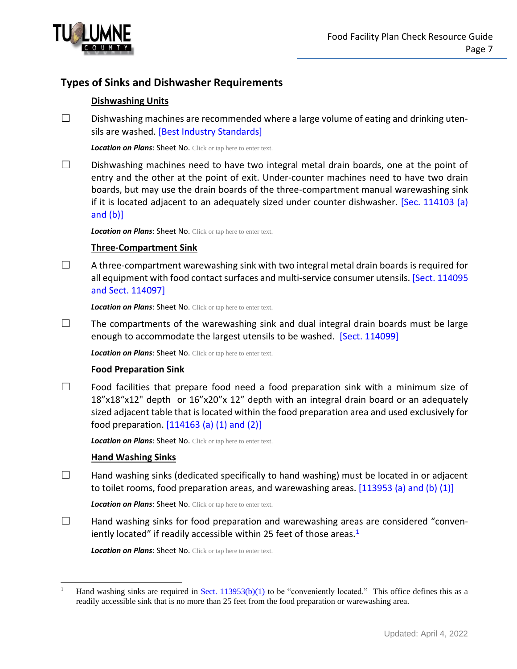



## **Types of Sinks and Dishwasher Requirements**

#### **Dishwashing Units**

 $\Box$  Dishwashing machines are recommended where a large volume of eating and drinking utensils are washed. [Best Industry Standards]

**Location on Plans: Sheet No.** Click or tap here to enter text.

 $\Box$  Dishwashing machines need to have two integral metal drain boards, one at the point of entry and the other at the point of exit. Under-counter machines need to have two drain boards, but may use the drain boards of the three-compartment manual warewashing sink if it is located adjacent to an adequately sized under counter dishwasher.  $[Sec. 114103 (a)]$ and (b)]

*Location on Plans*: Sheet No. Click or tap here to enter text.

#### **Three-Compartment Sink**

 $\Box$  A three-compartment warewashing sink with two integral metal drain boards is required for all equipment with food contact surfaces and multi-service consumer utensils. [Sect. 114095 and Sect. 114097]

*Location on Plans*: Sheet No. Click or tap here to enter text.

 $\Box$  The compartments of the warewashing sink and dual integral drain boards must be large enough to accommodate the largest utensils to be washed. [Sect. 114099]

**Location on Plans: Sheet No.** Click or tap here to enter text.

#### **Food Preparation Sink**

 $\Box$  Food facilities that prepare food need a food preparation sink with a minimum size of 18"x18"x12" depth or 16"x20"x 12" depth with an integral drain board or an adequately sized adjacent table that is located within the food preparation area and used exclusively for food preparation.  $[114163 (a) (1)$  and  $(2)]$ 

*Location on Plans*: Sheet No. Click or tap here to enter text.

#### **Hand Washing Sinks**

 $\Box$  Hand washing sinks (dedicated specifically to hand washing) must be located in or adjacent to toilet rooms, food preparation areas, and warewashing areas. [113953 (a) and (b) (1)]

*Location on Plans*: Sheet No. Click or tap here to enter text.

☐ Hand washing sinks for food preparation and warewashing areas are considered "conveniently located" if readily accessible within 25 feet of those areas. $<sup>1</sup>$ </sup>

Hand washing sinks are required in Sect. 113953(b)(1) to be "conveniently located." This office defines this as a readily accessible sink that is no more than 25 feet from the food preparation or warewashing area.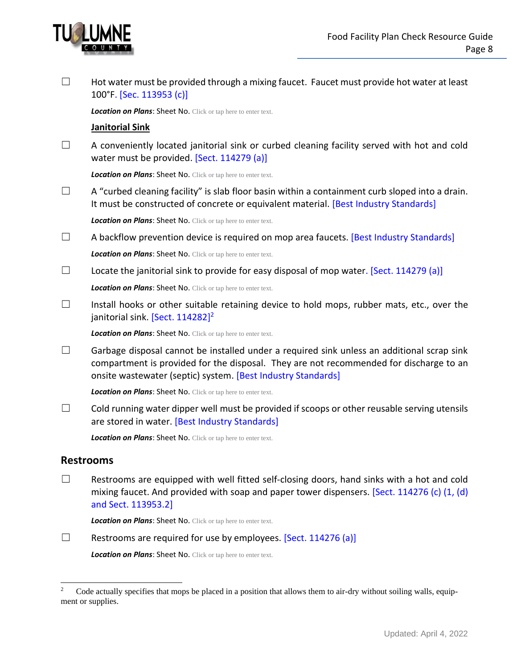

 $\Box$  Hot water must be provided through a mixing faucet. Faucet must provide hot water at least 100°F. [Sec. 113953 (c)]

*Location on Plans*: Sheet No. Click or tap here to enter text.

#### **Janitorial Sink**

 $\Box$  A conveniently located janitorial sink or curbed cleaning facility served with hot and cold water must be provided. [Sect. 114279 (a)]

*Location on Plans*: Sheet No. Click or tap here to enter text.

 $\Box$  A "curbed cleaning facility" is slab floor basin within a containment curb sloped into a drain. It must be constructed of concrete or equivalent material. [Best Industry Standards]

**Location on Plans: Sheet No.** Click or tap here to enter text.

- $\Box$  A backflow prevention device is required on mop area faucets. [Best Industry Standards] **Location on Plans: Sheet No.** Click or tap here to enter text.
- $\Box$  Locate the janitorial sink to provide for easy disposal of mop water. [Sect. 114279 (a)] *Location on Plans*: Sheet No. Click or tap here to enter text.
- $\Box$  Install hooks or other suitable retaining device to hold mops, rubber mats, etc., over the janitorial sink. [Sect.  $114282$ ]<sup>2</sup>

**Location on Plans: Sheet No.** Click or tap here to enter text.

 $\square$  Garbage disposal cannot be installed under a required sink unless an additional scrap sink compartment is provided for the disposal. They are not recommended for discharge to an onsite wastewater (septic) system. [Best Industry Standards]

**Location on Plans: Sheet No.** Click or tap here to enter text.

 $\Box$  Cold running water dipper well must be provided if scoops or other reusable serving utensils are stored in water. [Best Industry Standards]

*Location on Plans*: Sheet No. Click or tap here to enter text.

#### **Restrooms**

 $\Box$  Restrooms are equipped with well fitted self-closing doors, hand sinks with a hot and cold mixing faucet. And provided with soap and paper tower dispensers. [Sect. 114276 (c) (1, (d) and Sect. 113953.2]

*Location on Plans*: Sheet No. Click or tap here to enter text.

 $\Box$  Restrooms are required for use by employees. [Sect. 114276 (a)]

<sup>2</sup> Code actually specifies that mops be placed in a position that allows them to air-dry without soiling walls, equipment or supplies.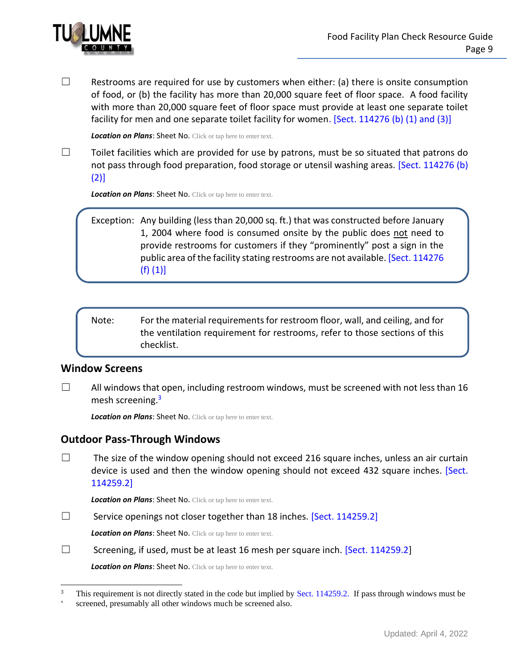

 $\Box$  Restrooms are required for use by customers when either: (a) there is onsite consumption of food, or (b) the facility has more than 20,000 square feet of floor space. A food facility with more than 20,000 square feet of floor space must provide at least one separate toilet facility for men and one separate toilet facility for women. [Sect. 114276 (b) (1) and (3)]

*Location on Plans*: Sheet No. Click or tap here to enter text.

 $\Box$  Toilet facilities which are provided for use by patrons, must be so situated that patrons do not pass through food preparation, food storage or utensil washing areas. [Sect. 114276 (b) (2)]

*Location on Plans*: Sheet No. Click or tap here to enter text.

Exception: Any building (less than 20,000 sq. ft.) that was constructed before January 1, 2004 where food is consumed onsite by the public does not need to provide restrooms for customers if they "prominently" post a sign in the public area of the facility stating restrooms are not available. [Sect. 114276 (f) (1)]

Note: For the material requirements for restroom floor, wall, and ceiling, and for the ventilation requirement for restrooms, refer to those sections of this checklist.

#### **Window Screens**

 $\Box$  All windows that open, including restroom windows, must be screened with not less than 16 mesh screening.<sup>3</sup>

**Location on Plans: Sheet No.** Click or tap here to enter text.

#### **Outdoor Pass-Through Windows**

 $\Box$  The size of the window opening should not exceed 216 square inches, unless an air curtain device is used and then the window opening should not exceed 432 square inches. [Sect. 114259.2]

*Location on Plans*: Sheet No. Click or tap here to enter text.

☐ Service openings not closer together than 18 inches. [Sect. 114259.2]

*Location on Plans*: Sheet No. Click or tap here to enter text.

☐ Screening, if used, must be at least 16 mesh per square inch. [Sect. 114259.2]

<sup>&</sup>lt;sup>3</sup> This requirement is not directly stated in the code but implied by Sect. 114259.2. If pass through windows must be

screened, presumably all other windows much be screened also.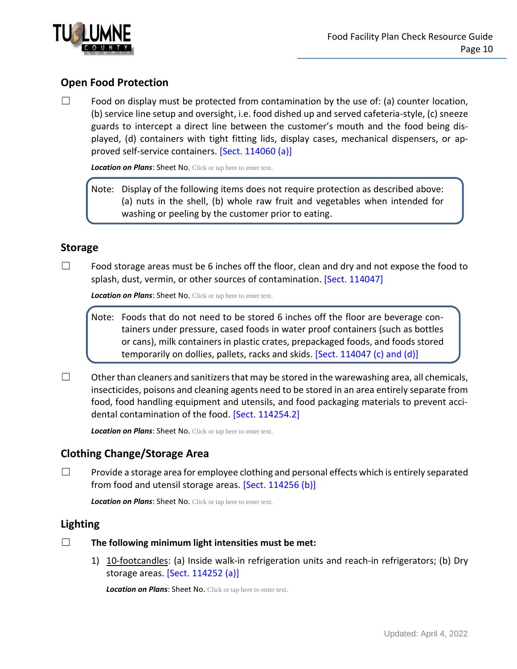

## **Open Food Protection**

 $\Box$  Food on display must be protected from contamination by the use of: (a) counter location, (b) service line setup and oversight, i.e. food dished up and served cafeteria-style, (c) sneeze guards to intercept a direct line between the customer's mouth and the food being displayed, (d) containers with tight fitting lids, display cases, mechanical dispensers, or approved self-service containers. [Sect. 114060 (a)]

**Location on Plans: Sheet No.** Click or tap here to enter text.

Note: Display of the following items does not require protection as described above: (a) nuts in the shell, (b) whole raw fruit and vegetables when intended for washing or peeling by the customer prior to eating.

#### **Storage**

 $\Box$  Food storage areas must be 6 inches off the floor, clean and dry and not expose the food to splash, dust, vermin, or other sources of contamination. [Sect. 114047]

*Location on Plans*: Sheet No. Click or tap here to enter text.

Note: Foods that do not need to be stored 6 inches off the floor are beverage containers under pressure, cased foods in water proof containers (such as bottles or cans), milk containers in plastic crates, prepackaged foods, and foods stored temporarily on dollies, pallets, racks and skids. [Sect. 114047 (c) and (d)]

 $\Box$  Other than cleaners and sanitizers that may be stored in the warewashing area, all chemicals, insecticides, poisons and cleaning agents need to be stored in an area entirely separate from food, food handling equipment and utensils, and food packaging materials to prevent accidental contamination of the food. [Sect. 114254.2]

*Location on Plans*: Sheet No. Click or tap here to enter text.

### **Clothing Change/Storage Area**

☐ Provide a storage area for employee clothing and personal effects which is entirely separated from food and utensil storage areas. [Sect. 114256 (b)]

*Location on Plans*: Sheet No. Click or tap here to enter text.

#### **Lighting**

- ☐ **The following minimum light intensities must be met:**
	- 1) 10-footcandles: (a) Inside walk-in refrigeration units and reach-in refrigerators; (b) Dry storage areas. [Sect. 114252 (a)]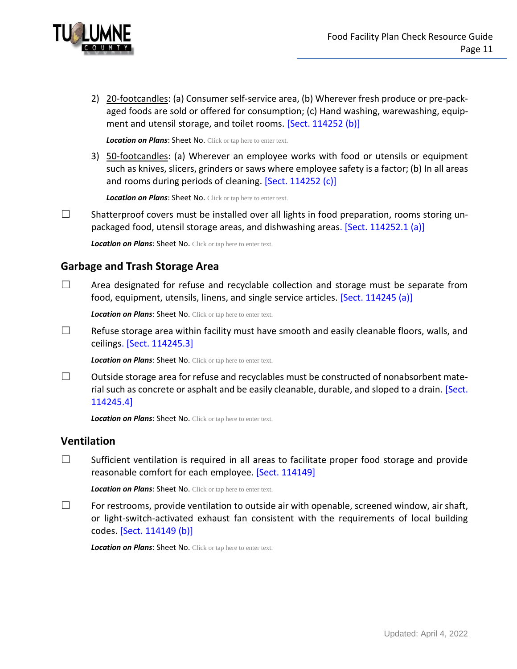

2) 20-footcandles: (a) Consumer self-service area, (b) Wherever fresh produce or pre-packaged foods are sold or offered for consumption; (c) Hand washing, warewashing, equipment and utensil storage, and toilet rooms. [Sect. 114252 (b)]

**Location on Plans: Sheet No.** Click or tap here to enter text.

3) 50-footcandles: (a) Wherever an employee works with food or utensils or equipment such as knives, slicers, grinders or saws where employee safety is a factor; (b) In all areas and rooms during periods of cleaning. [Sect. 114252 (c)]

*Location on Plans*: Sheet No. Click or tap here to enter text.

 $\Box$  Shatterproof covers must be installed over all lights in food preparation, rooms storing unpackaged food, utensil storage areas, and dishwashing areas. [Sect. 114252.1 (a)]

**Location on Plans: Sheet No.** Click or tap here to enter text.

#### **Garbage and Trash Storage Area**

☐ Area designated for refuse and recyclable collection and storage must be separate from food, equipment, utensils, linens, and single service articles. [Sect. 114245 (a)]

**Location on Plans: Sheet No.** Click or tap here to enter text.

 $\Box$  Refuse storage area within facility must have smooth and easily cleanable floors, walls, and ceilings. [Sect. 114245.3]

*Location on Plans*: Sheet No. Click or tap here to enter text.

 $\square$  Outside storage area for refuse and recyclables must be constructed of nonabsorbent material such as concrete or asphalt and be easily cleanable, durable, and sloped to a drain. [Sect. 114245.4]

*Location on Plans*: Sheet No. Click or tap here to enter text.

#### **Ventilation**

☐ Sufficient ventilation is required in all areas to facilitate proper food storage and provide reasonable comfort for each employee. [Sect. 114149]

*Location on Plans*: Sheet No. Click or tap here to enter text.

 $\Box$  For restrooms, provide ventilation to outside air with openable, screened window, air shaft, or light-switch-activated exhaust fan consistent with the requirements of local building codes. [Sect. 114149 (b)]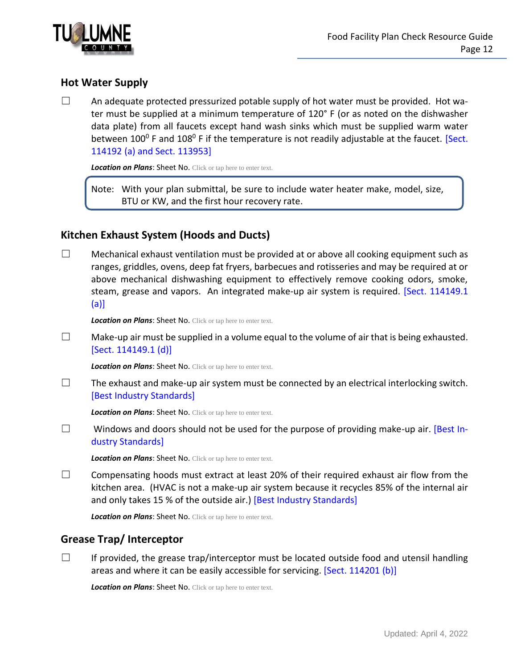

### **Hot Water Supply**

 $\Box$  An adequate protected pressurized potable supply of hot water must be provided. Hot water must be supplied at a minimum temperature of 120° F (or as noted on the dishwasher data plate) from all faucets except hand wash sinks which must be supplied warm water between 100<sup>0</sup> F and 108<sup>0</sup> F if the temperature is not readily adjustable at the faucet. [Sect. 114192 (a) and Sect. 113953]

**Location on Plans: Sheet No.** Click or tap here to enter text.

Note: With your plan submittal, be sure to include water heater make, model, size, BTU or KW, and the first hour recovery rate.

### **Kitchen Exhaust System (Hoods and Ducts)**

 $\Box$  Mechanical exhaust ventilation must be provided at or above all cooking equipment such as ranges, griddles, ovens, deep fat fryers, barbecues and rotisseries and may be required at or above mechanical dishwashing equipment to effectively remove cooking odors, smoke, steam, grease and vapors. An integrated make-up air system is required. [Sect. 114149.1 (a)]

*Location on Plans*: Sheet No. Click or tap here to enter text.

 $\Box$  Make-up air must be supplied in a volume equal to the volume of air that is being exhausted. [Sect. 114149.1 (d)]

*Location on Plans*: Sheet No. Click or tap here to enter text.

☐ The exhaust and make-up air system must be connected by an electrical interlocking switch. [Best Industry Standards]

*Location on Plans*: Sheet No. Click or tap here to enter text.

 $\Box$  Windows and doors should not be used for the purpose of providing make-up air. [Best Industry Standards]

*Location on Plans*: Sheet No. Click or tap here to enter text.

☐ Compensating hoods must extract at least 20% of their required exhaust air flow from the kitchen area. (HVAC is not a make-up air system because it recycles 85% of the internal air and only takes 15 % of the outside air.) [Best Industry Standards]

*Location on Plans*: Sheet No. Click or tap here to enter text.

### **Grease Trap/ Interceptor**

 $\Box$  If provided, the grease trap/interceptor must be located outside food and utensil handling areas and where it can be easily accessible for servicing. [Sect. 114201 (b)]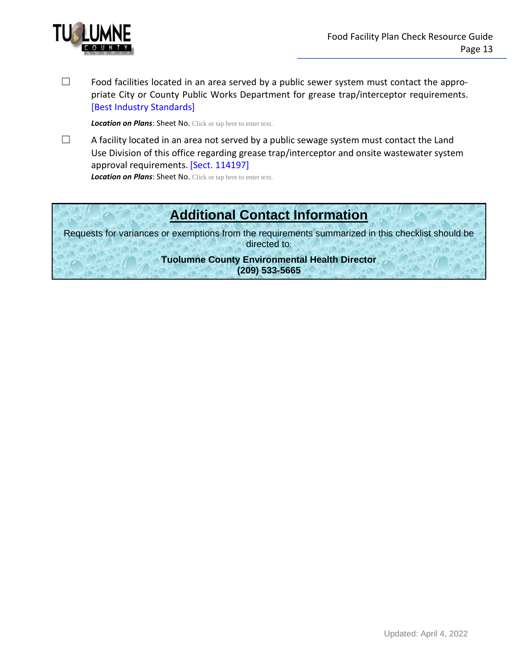

 $\Box$  Food facilities located in an area served by a public sewer system must contact the appropriate City or County Public Works Department for grease trap/interceptor requirements. [Best Industry Standards]

**Location on Plans: Sheet No.** Click or tap here to enter text.

 $\Box$  A facility located in an area not served by a public sewage system must contact the Land Use Division of this office regarding grease trap/interceptor and onsite wastewater system approval requirements. [Sect. 114197]

**Location on Plans: Sheet No.** Click or tap here to enter text.

## **Additional Contact Information**

Requests for variances or exemptions from the requirements summarized in this checklist should be directed to:

> **Tuolumne County Environmental Health Director (209) 533-5665**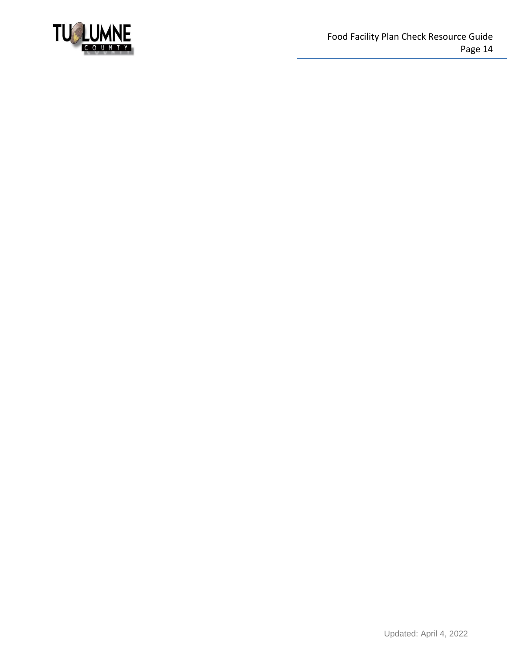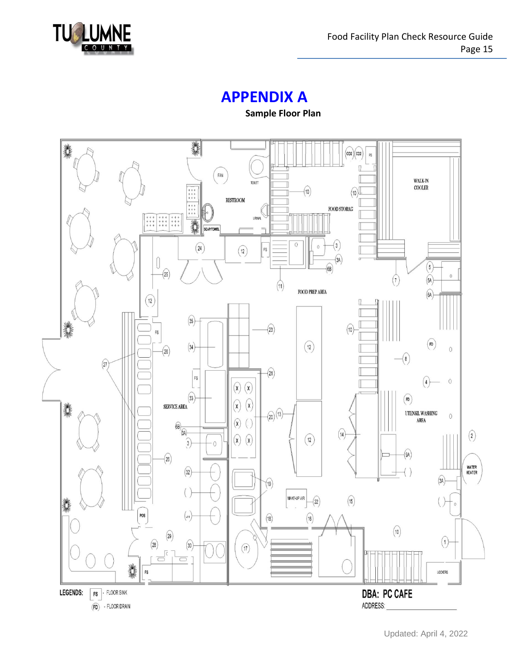

## **APPENDIX A**

**Sample Floor Plan**

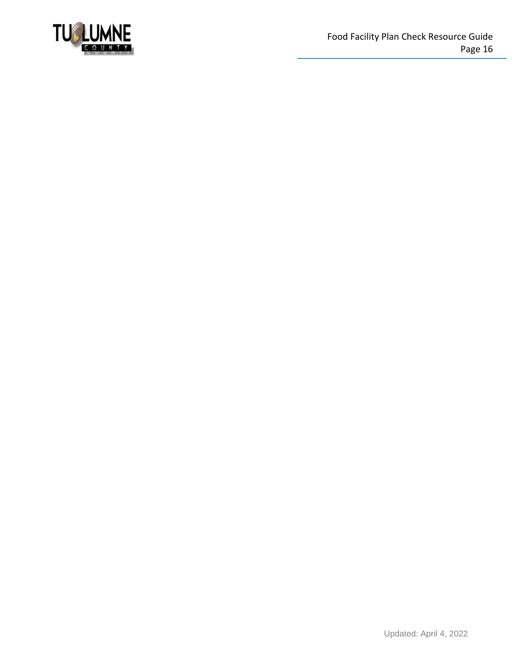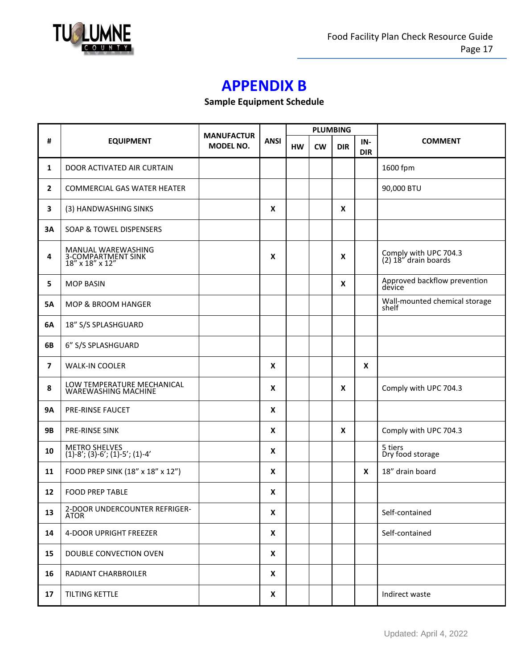

## **APPENDIX B**

## **Sample Equipment Schedule**

| #                       | <b>EQUIPMENT</b>                                         | <b>MANUFACTUR</b><br><b>MODEL NO.</b> | <b>ANSI</b>        | <b>PLUMBING</b> |           |            |                   |                                               |
|-------------------------|----------------------------------------------------------|---------------------------------------|--------------------|-----------------|-----------|------------|-------------------|-----------------------------------------------|
|                         |                                                          |                                       |                    | <b>HW</b>       | <b>CW</b> | <b>DIR</b> | IN-<br><b>DIR</b> | <b>COMMENT</b>                                |
| 1                       | DOOR ACTIVATED AIR CURTAIN                               |                                       |                    |                 |           |            |                   | 1600 fpm                                      |
| $\overline{2}$          | <b>COMMERCIAL GAS WATER HEATER</b>                       |                                       |                    |                 |           |            |                   | 90,000 BTU                                    |
| 3                       | (3) HANDWASHING SINKS                                    |                                       | X                  |                 |           | X          |                   |                                               |
| 3A                      | SOAP & TOWEL DISPENSERS                                  |                                       |                    |                 |           |            |                   |                                               |
| 4                       | MANUAL WAREWASHING<br>3-COMPARTMENT SINK                 |                                       | X                  |                 |           | X          |                   | Comply with UPC 704.3<br>(2) 18" drain boards |
| 5                       | <b>MOP BASIN</b>                                         |                                       |                    |                 |           | X          |                   | Approved backflow prevention<br>device        |
| <b>5A</b>               | MOP & BROOM HANGER                                       |                                       |                    |                 |           |            |                   | Wall-mounted chemical storage<br>shelf        |
| 6A                      | 18" S/S SPLASHGUARD                                      |                                       |                    |                 |           |            |                   |                                               |
| 6B                      | 6" S/S SPLASHGUARD                                       |                                       |                    |                 |           |            |                   |                                               |
| $\overline{\mathbf{z}}$ | <b>WALK-IN COOLER</b>                                    |                                       | X                  |                 |           |            | $\mathbf{x}$      |                                               |
| 8                       | LOW TEMPERATURE MECHANICAL<br><b>WAREWASHING MACHINE</b> |                                       | X                  |                 |           | X          |                   | Comply with UPC 704.3                         |
| 9A                      | <b>PRE-RINSE FAUCET</b>                                  |                                       | X                  |                 |           |            |                   |                                               |
| <b>9B</b>               | PRE-RINSE SINK                                           |                                       | X                  |                 |           | X          |                   | Comply with UPC 704.3                         |
| 10                      | METRO SHELVES<br>(1)-8'; (3)-6'; (1)-5'; (1)-4'          |                                       | X                  |                 |           |            |                   | 5 tiers<br>Dry food storage                   |
| 11                      | FOOD PREP SINK (18" x 18" x 12")                         |                                       | X                  |                 |           |            | $\mathbf{x}$      | 18" drain board                               |
| 12                      | <b>FOOD PREP TABLE</b>                                   |                                       | X                  |                 |           |            |                   |                                               |
| 13                      | 2-DOOR UNDERCOUNTER REFRIGER-<br>ATOR                    |                                       | X                  |                 |           |            |                   | Self-contained                                |
| 14                      | 4-DOOR UPRIGHT FREEZER                                   |                                       | X                  |                 |           |            |                   | Self-contained                                |
| 15                      | DOUBLE CONVECTION OVEN                                   |                                       | $\pmb{\mathsf{X}}$ |                 |           |            |                   |                                               |
| 16                      | RADIANT CHARBROILER                                      |                                       | X                  |                 |           |            |                   |                                               |
| 17                      | TILTING KETTLE                                           |                                       | X                  |                 |           |            |                   | Indirect waste                                |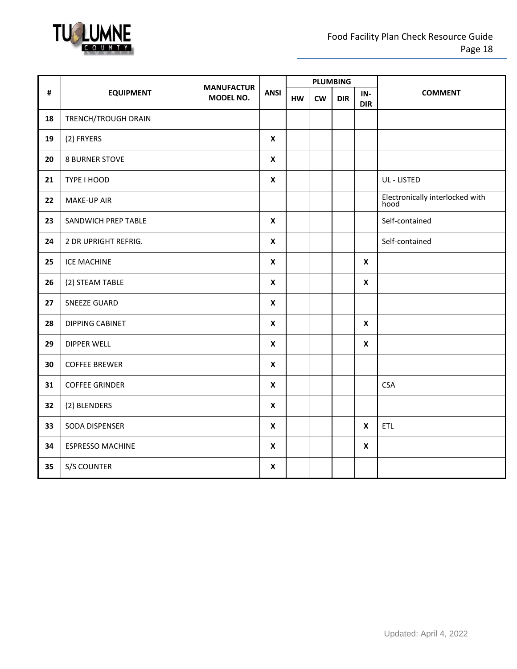

|    | <b>EQUIPMENT</b>        | <b>MANUFACTUR</b><br>MODEL NO. | <b>ANSI</b>        | <b>PLUMBING</b> |           |            |                    |                                         |
|----|-------------------------|--------------------------------|--------------------|-----------------|-----------|------------|--------------------|-----------------------------------------|
| #  |                         |                                |                    | <b>HW</b>       | <b>CW</b> | <b>DIR</b> | IN-<br><b>DIR</b>  | <b>COMMENT</b>                          |
| 18 | TRENCH/TROUGH DRAIN     |                                |                    |                 |           |            |                    |                                         |
| 19 | (2) FRYERS              |                                | $\boldsymbol{x}$   |                 |           |            |                    |                                         |
| 20 | <b>8 BURNER STOVE</b>   |                                | $\pmb{\mathsf{X}}$ |                 |           |            |                    |                                         |
| 21 | TYPE I HOOD             |                                | $\pmb{\mathsf{X}}$ |                 |           |            |                    | UL - LISTED                             |
| 22 | <b>MAKE-UP AIR</b>      |                                |                    |                 |           |            |                    | Electronically interlocked with<br>hood |
| 23 | SANDWICH PREP TABLE     |                                | $\boldsymbol{x}$   |                 |           |            |                    | Self-contained                          |
| 24 | 2 DR UPRIGHT REFRIG.    |                                | X                  |                 |           |            |                    | Self-contained                          |
| 25 | <b>ICE MACHINE</b>      |                                | $\pmb{\mathsf{X}}$ |                 |           |            | $\pmb{\mathsf{X}}$ |                                         |
| 26 | (2) STEAM TABLE         |                                | $\pmb{\mathsf{x}}$ |                 |           |            | X                  |                                         |
| 27 | <b>SNEEZE GUARD</b>     |                                | $\boldsymbol{x}$   |                 |           |            |                    |                                         |
| 28 | <b>DIPPING CABINET</b>  |                                | X                  |                 |           |            | X                  |                                         |
| 29 | <b>DIPPER WELL</b>      |                                | $\boldsymbol{x}$   |                 |           |            | $\boldsymbol{x}$   |                                         |
| 30 | <b>COFFEE BREWER</b>    |                                | $\pmb{\mathsf{x}}$ |                 |           |            |                    |                                         |
| 31 | <b>COFFEE GRINDER</b>   |                                | $\boldsymbol{x}$   |                 |           |            |                    | <b>CSA</b>                              |
| 32 | (2) BLENDERS            |                                | X                  |                 |           |            |                    |                                         |
| 33 | SODA DISPENSER          |                                | X                  |                 |           |            | X                  | ETL                                     |
| 34 | <b>ESPRESSO MACHINE</b> |                                | $\pmb{\mathsf{X}}$ |                 |           |            | $\boldsymbol{x}$   |                                         |
| 35 | <b>S/S COUNTER</b>      |                                | X                  |                 |           |            |                    |                                         |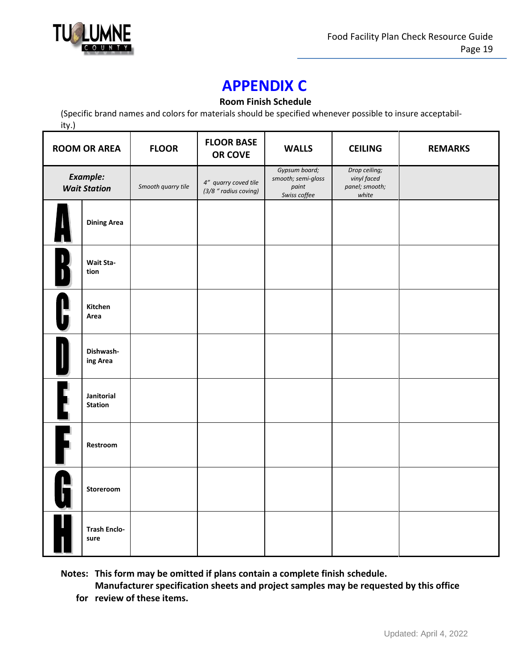

## **APPENDIX C**

#### **Room Finish Schedule**

(Specific brand names and colors for materials should be specified whenever possible to insure acceptability.)

| <b>ROOM OR AREA</b>             |                              | <b>FLOOR</b>       | <b>FLOOR BASE</b><br>OR COVE                  | <b>WALLS</b>                                                 | <b>CEILING</b>                                          | <b>REMARKS</b> |
|---------------------------------|------------------------------|--------------------|-----------------------------------------------|--------------------------------------------------------------|---------------------------------------------------------|----------------|
| Example:<br><b>Wait Station</b> |                              | Smooth quarry tile | 4" quarry coved tile<br>(3/8 " radius coving) | Gypsum board;<br>smooth; semi-gloss<br>paint<br>Swiss coffee | Drop ceiling;<br>vinyl faced<br>panel; smooth;<br>white |                |
|                                 | <b>Dining Area</b>           |                    |                                               |                                                              |                                                         |                |
| $\begin{matrix} \end{matrix}$   | <b>Wait Sta-</b><br>tion     |                    |                                               |                                                              |                                                         |                |
|                                 | Kitchen<br>Area              |                    |                                               |                                                              |                                                         |                |
|                                 | Dishwash-<br>ing Area        |                    |                                               |                                                              |                                                         |                |
|                                 | Janitorial<br><b>Station</b> |                    |                                               |                                                              |                                                         |                |
| f                               | Restroom                     |                    |                                               |                                                              |                                                         |                |
| G                               | Storeroom                    |                    |                                               |                                                              |                                                         |                |
|                                 | <b>Trash Enclo-</b><br>sure  |                    |                                               |                                                              |                                                         |                |

**Notes: This form may be omitted if plans contain a complete finish schedule. Manufacturer specification sheets and project samples may be requested by this office for review of these items.**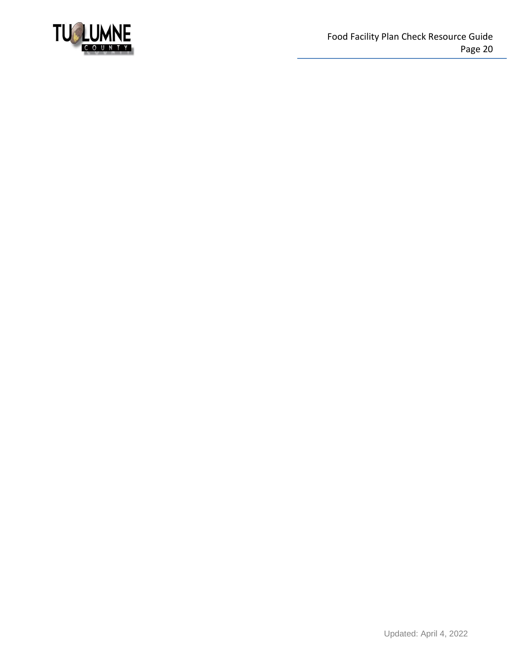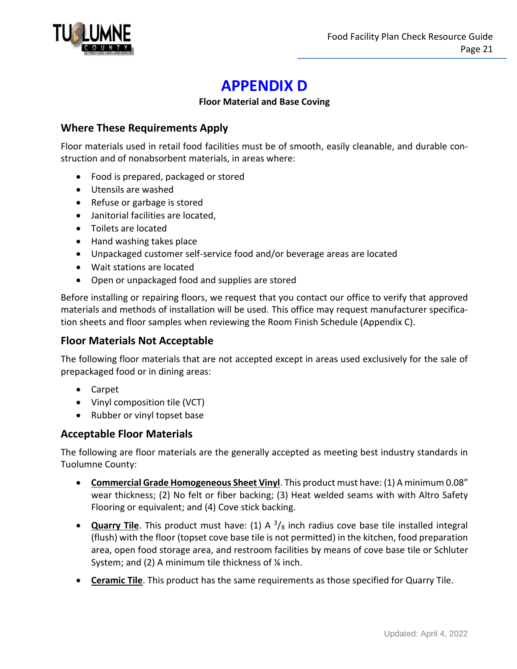## **APPENDIX D**

#### **Floor Material and Base Coving**

### **Where These Requirements Apply**

Floor materials used in retail food facilities must be of smooth, easily cleanable, and durable construction and of nonabsorbent materials, in areas where:

- Food is prepared, packaged or stored
- Utensils are washed
- Refuse or garbage is stored
- Janitorial facilities are located,
- Toilets are located
- Hand washing takes place
- Unpackaged customer self-service food and/or beverage areas are located
- Wait stations are located
- Open or unpackaged food and supplies are stored

Before installing or repairing floors, we request that you contact our office to verify that approved materials and methods of installation will be used. This office may request manufacturer specification sheets and floor samples when reviewing the Room Finish Schedule (Appendix C).

### **Floor Materials Not Acceptable**

The following floor materials that are not accepted except in areas used exclusively for the sale of prepackaged food or in dining areas:

- Carpet
- Vinyl composition tile (VCT)
- Rubber or vinyl topset base

### **Acceptable Floor Materials**

The following are floor materials are the generally accepted as meeting best industry standards in Tuolumne County:

- **Commercial Grade Homogeneous Sheet Vinyl**. This product must have: (1) A minimum 0.08" wear thickness; (2) No felt or fiber backing; (3) Heat welded seams with with Altro Safety Flooring or equivalent; and (4) Cove stick backing.
- **Quarry Tile**. This product must have: (1) A <sup>3</sup>/<sub>8</sub> inch radius cove base tile installed integral (flush) with the floor (topset cove base tile is not permitted) in the kitchen, food preparation area, open food storage area, and restroom facilities by means of cove base tile or Schluter System; and (2) A minimum tile thickness of ¼ inch.
- **Ceramic Tile**. This product has the same requirements as those specified for Quarry Tile.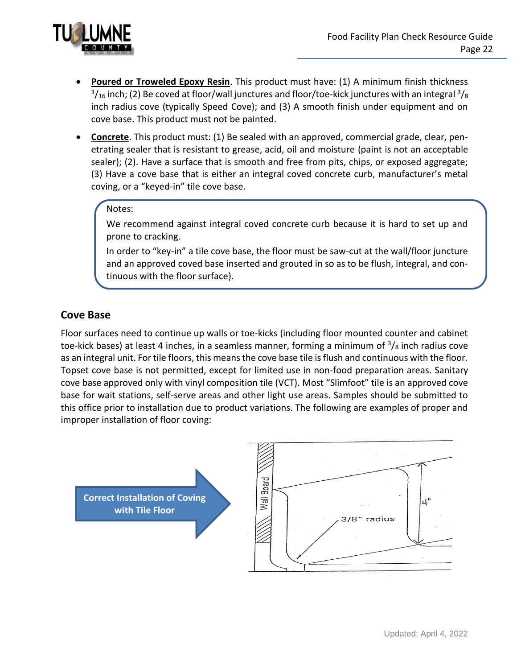

- **Poured or Troweled Epoxy Resin**. This product must have: (1) A minimum finish thickness  $^{3}/_{16}$  inch; (2) Be coved at floor/wall junctures and floor/toe-kick junctures with an integral  $^{3}/_{8}$ inch radius cove (typically Speed Cove); and (3) A smooth finish under equipment and on cove base. This product must not be painted.
- **Concrete**. This product must: (1) Be sealed with an approved, commercial grade, clear, penetrating sealer that is resistant to grease, acid, oil and moisture (paint is not an acceptable sealer); (2). Have a surface that is smooth and free from pits, chips, or exposed aggregate; (3) Have a cove base that is either an integral coved concrete curb, manufacturer's metal coving, or a "keyed-in" tile cove base.

#### Notes:

We recommend against integral coved concrete curb because it is hard to set up and prone to cracking.

In order to "key-in" a tile cove base, the floor must be saw-cut at the wall/floor juncture and an approved coved base inserted and grouted in so as to be flush, integral, and continuous with the floor surface).

### **Cove Base**

Floor surfaces need to continue up walls or toe-kicks (including floor mounted counter and cabinet toe-kick bases) at least 4 inches, in a seamless manner, forming a minimum of  $\frac{3}{8}$  inch radius cove as an integral unit. For tile floors, this means the cove base tile is flush and continuous with the floor. Topset cove base is not permitted, except for limited use in non-food preparation areas. Sanitary cove base approved only with vinyl composition tile (VCT). Most "Slimfoot" tile is an approved cove base for wait stations, self-serve areas and other light use areas. Samples should be submitted to this office prior to installation due to product variations. The following are examples of proper and improper installation of floor coving:

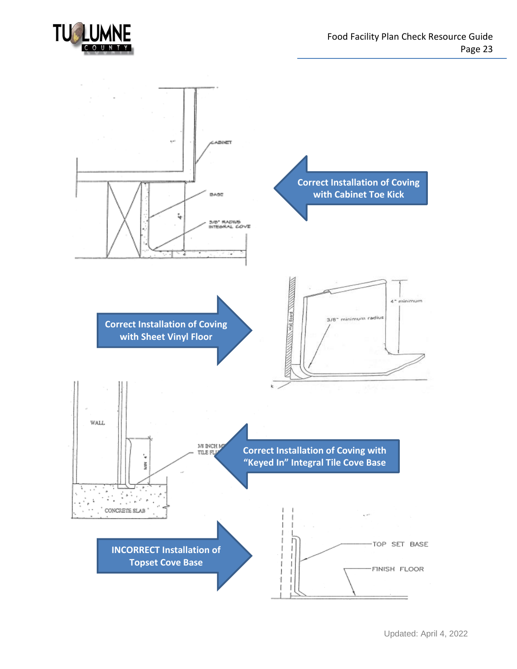

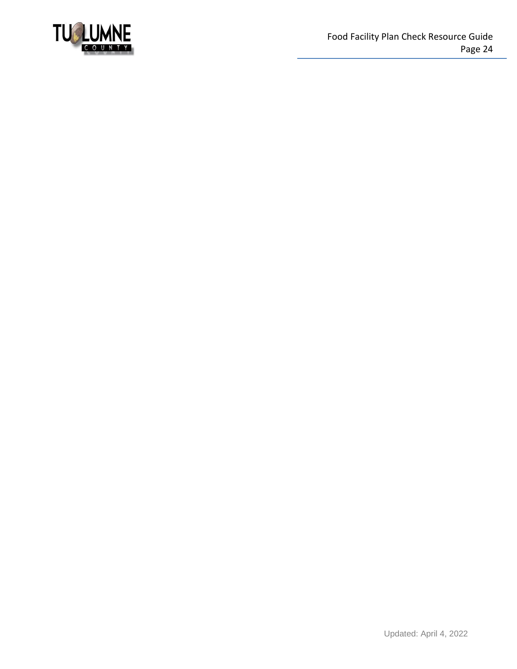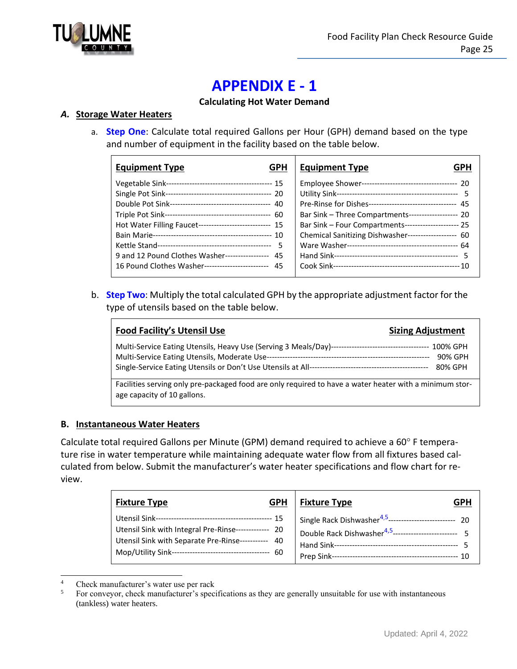

## **APPENDIX E - 1**

#### **Calculating Hot Water Demand**

#### *A.* **Storage Water Heaters**

a. **Step One**: Calculate total required Gallons per Hour (GPH) demand based on the type and number of equipment in the facility based on the table below.

| <b>Equipment Type</b><br><b>GPH</b>                     | <b>Equipment Type</b>                                     | GPH |
|---------------------------------------------------------|-----------------------------------------------------------|-----|
|                                                         |                                                           |     |
|                                                         |                                                           |     |
|                                                         | Pre-Rinse for Dishes---------------------------------- 45 |     |
|                                                         | Bar Sink - Three Compartments------------------- 20       |     |
| Hot Water Filling Faucet---------------------------- 15 | Bar Sink - Four Compartments--------------------- 25      |     |
|                                                         | Chemical Sanitizing Dishwasher------------------- 60      |     |
|                                                         |                                                           |     |
| 9 and 12 Pound Clothes Washer---------------- 45        |                                                           |     |
| 16 Pound Clothes Washer------------------------- 45     |                                                           |     |

b. **Step Two**: Multiply the total calculated GPH by the appropriate adjustment factor for the type of utensils based on the table below.

| <b>Food Facility's Utensil Use</b>                                                                      | <b>Sizing Adjustment</b> |
|---------------------------------------------------------------------------------------------------------|--------------------------|
|                                                                                                         | 100% GPH                 |
| Multi-Service Eating Utensils, Moderate Use-                                                            | 90% GPH                  |
|                                                                                                         | 80% GPH                  |
|                                                                                                         |                          |
| Facilities serving only pre-packaged food are only required to have a water heater with a minimum stor- |                          |
| age capacity of 10 gallons.                                                                             |                          |

#### **B. Instantaneous Water Heaters**

Calculate total required Gallons per Minute (GPM) demand required to achieve a 60° F temperature rise in water temperature while maintaining adequate water flow from all fixtures based calculated from below. Submit the manufacturer's water heater specifications and flow chart for review.

| Fixture Type                                                                                               | GPH | <b>Fixture Type</b><br>GPH                                                                                                               |
|------------------------------------------------------------------------------------------------------------|-----|------------------------------------------------------------------------------------------------------------------------------------------|
| Utensil Sink with Integral Pre-Rinse------------- 20<br>Utensil Sink with Separate Pre-Rinse----------- 40 |     | Single Rack Dishwasher <sup>4,5</sup> ---------------------------- 20<br>Double Rack Dishwasher <sup>4,5</sup> ------------------------- |

 $\frac{4}{5}$  Check manufacturer's water use per rack

<sup>5</sup> For conveyor, check manufacturer's specifications as they are generally unsuitable for use with instantaneous (tankless) water heaters.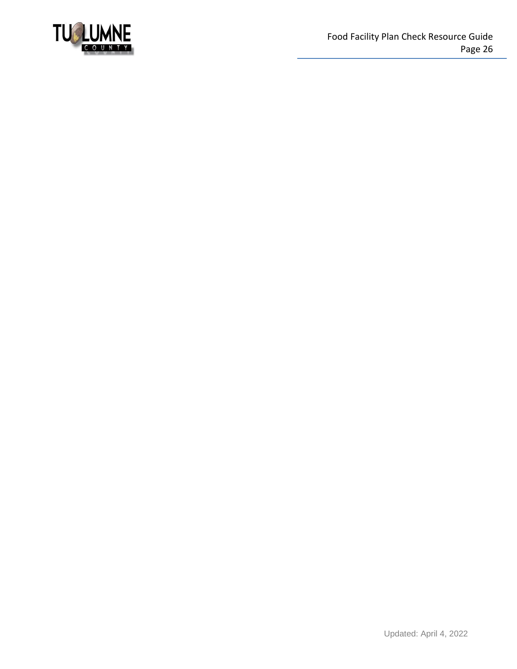